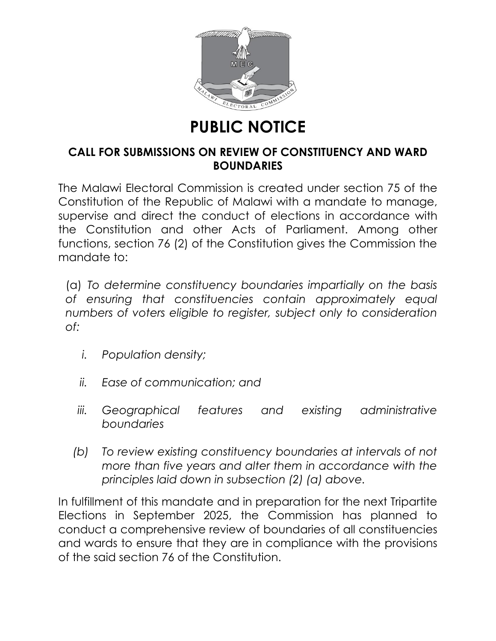

## **PUBLIC NOTICE**

## **CALL FOR SUBMISSIONS ON REVIEW OF CONSTITUENCY AND WARD BOUNDARIES**

The Malawi Electoral Commission is created under section 75 of the Constitution of the Republic of Malawi with a mandate to manage, supervise and direct the conduct of elections in accordance with the Constitution and other Acts of Parliament. Among other functions, section 76 (2) of the Constitution gives the Commission the mandate to:

(a) *To determine constituency boundaries impartially on the basis of ensuring that constituencies contain approximately equal numbers of voters eligible to register, subject only to consideration of:*

- *i. Population density;*
- *ii. Ease of communication; and*
- *iii. Geographical features and existing administrative boundaries*
- *(b) To review existing constituency boundaries at intervals of not more than five years and alter them in accordance with the principles laid down in subsection (2) (a) above.*

In fulfillment of this mandate and in preparation for the next Tripartite Elections in September 2025, the Commission has planned to conduct a comprehensive review of boundaries of all constituencies and wards to ensure that they are in compliance with the provisions of the said section 76 of the Constitution.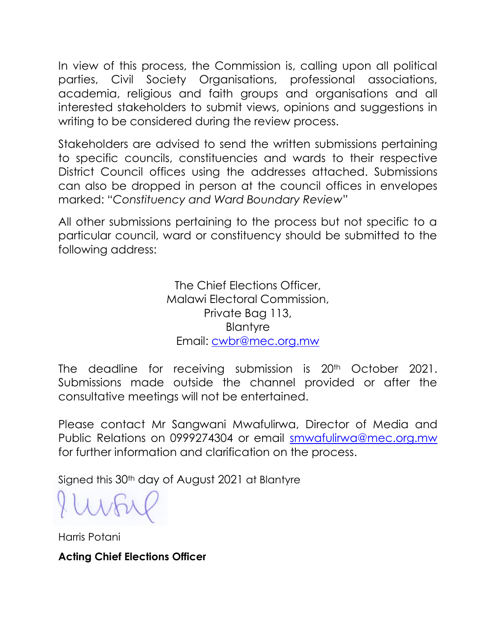In view of this process, the Commission is, calling upon all political parties, Civil Society Organisations, professional associations, academia, religious and faith groups and organisations and all interested stakeholders to submit views, opinions and suggestions in writing to be considered during the review process.

Stakeholders are advised to send the written submissions pertaining to specific councils, constituencies and wards to their respective District Council offices using the addresses attached. Submissions can also be dropped in person at the council offices in envelopes marked: "*Constituency and Ward Boundary Review*"

All other submissions pertaining to the process but not specific to a particular council, ward or constituency should be submitted to the following address:

> The Chief Elections Officer, Malawi Electoral Commission, Private Bag 113, **Blantyre** Email: [cwbr@mec.org.mw](mailto:cwbr@mec.org.mw)

The deadline for receiving submission is 20<sup>th</sup> October 2021. Submissions made outside the channel provided or after the consultative meetings will not be entertained.

Please contact Mr Sangwani Mwafulirwa, Director of Media and Public Relations on 0999274304 or email [smwafulirwa@mec.org.mw](mailto:smwafulirwa@mec.org.mw) for further information and clarification on the process.

Signed this 30th day of August 2021 at Blantyre

Harris Potani

**Acting Chief Elections Officer**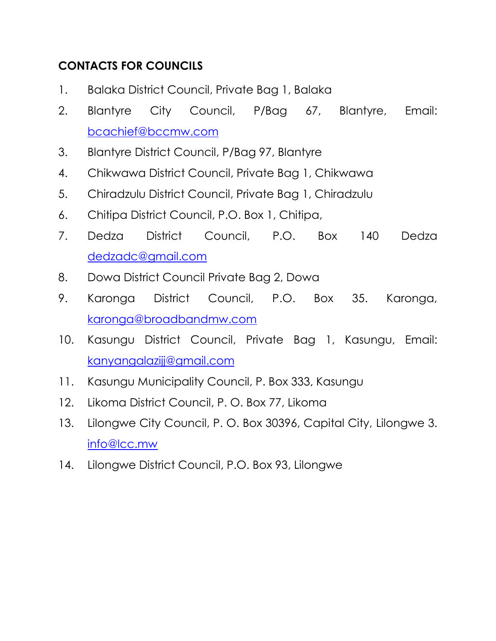## **CONTACTS FOR COUNCILS**

- 1. Balaka District Council, Private Bag 1, Balaka
- 2. Blantyre City Council, P/Bag 67, Blantyre, Email: [bcachief@bccmw.com](mailto:bcachief@bccmw.com)
- 3. Blantyre District Council, P/Bag 97, Blantyre
- 4. Chikwawa District Council, Private Bag 1, Chikwawa
- 5. Chiradzulu District Council, Private Bag 1, Chiradzulu
- 6. Chitipa District Council, P.O. Box 1, Chitipa,
- 7. Dedza District Council, P.O. Box 140 Dedza [dedzadc@gmail.com](mailto:dedzadc@gmail.com)
- 8. Dowa District Council Private Bag 2, Dowa
- 9. Karonga District Council, P.O. Box 35. Karonga, [karonga@broadbandmw.com](mailto:karonga@broadbandmw.com)
- 10. Kasungu District Council, Private Bag 1, Kasungu, Email: [kanyangalazijj@gmail.com](mailto:kanyangalazijj@gmail.com)
- 11. Kasungu Municipality Council, P. Box 333, Kasungu
- 12. Likoma District Council, P. O. Box 77, Likoma
- 13. Lilongwe City Council, P. O. Box 30396, Capital City, Lilongwe 3. [info@lcc.mw](mailto:info@lcc.mw)
- 14. Lilongwe District Council, P.O. Box 93, Lilongwe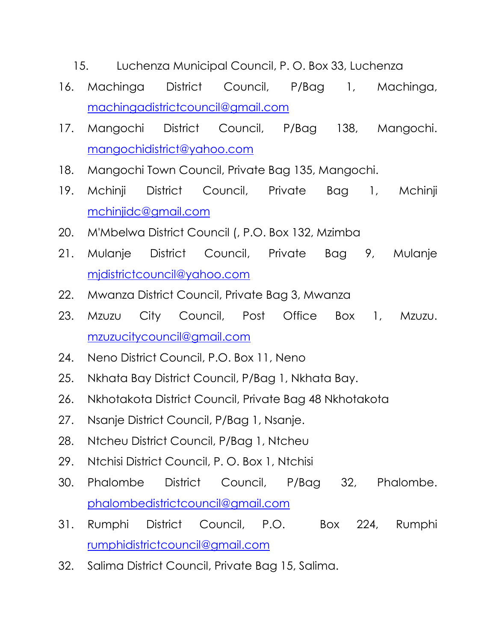- 15. Luchenza Municipal Council, P. O. Box 33, Luchenza
- 16. Machinga District Council, P/Bag 1, Machinga, [machingadistrictcouncil@gmail.com](mailto:machingadistrictcouncil@gmail.com)
- 17. Mangochi District Council, P/Bag 138, Mangochi. [mangochidistrict@yahoo.com](mailto:mangochidistrict@yahoo.com)
- 18. Mangochi Town Council, Private Bag 135, Mangochi.
- 19. Mchinji District Council, Private Bag 1, Mchinji [mchinjidc@gmail.com](mailto:mchinjidc@gmail.com)
- 20. M'Mbelwa District Council (, P.O. Box 132, Mzimba
- 21. Mulanje District Council, Private Bag 9, Mulanje [mjdistrictcouncil@yahoo.com](mailto:mjdistrictcouncil@yahoo.com)
- 22. Mwanza District Council, Private Bag 3, Mwanza
- 23. Mzuzu City Council, Post Office Box 1, Mzuzu. [mzuzucitycouncil@gmail.com](mailto:mzuzucitycouncil@gmail.com)
- 24. Neno District Council, P.O. Box 11, Neno
- 25. Nkhata Bay District Council, P/Bag 1, Nkhata Bay.
- 26. Nkhotakota District Council, Private Bag 48 Nkhotakota
- 27. Nsanje District Council, P/Bag 1, Nsanje.
- 28. Ntcheu District Council, P/Bag 1, Ntcheu
- 29. Ntchisi District Council, P. O. Box 1, Ntchisi
- 30. Phalombe District Council, P/Bag 32, Phalombe. [phalombedistrictcouncil@gmail.com](mailto:phalombedistrictcouncil@gmail.com)
- 31. Rumphi District Council, P.O. Box 224, Rumphi [rumphidistrictcouncil@gmail.com](mailto:rumphidistrictcouncil@gmail.com)
- 32. Salima District Council, Private Bag 15, Salima.